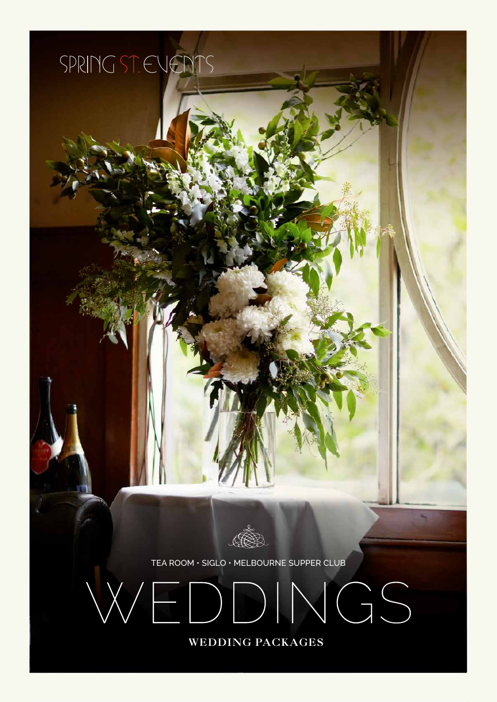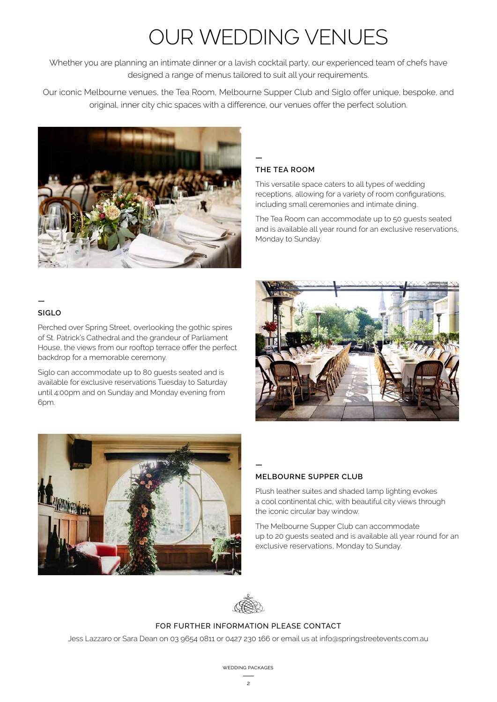# OUR WEDDING VENUES

Whether you are planning an intimate dinner or a lavish cocktail party, our experienced team of chefs have designed a range of menus tailored to suit all your requirements.

Our iconic Melbourne venues, the Tea Room, Melbourne Supper Club and Siglo offer unique, bespoke, and original, inner city chic spaces with a difference, our venues offer the perfect solution.



#### **— THE TEA ROOM**

This versatile space caters to all types of wedding receptions, allowing for a variety of room configurations, including small ceremonies and intimate dining.

The Tea Room can accommodate up to 50 guests seated and is available all year round for an exclusive reservations, Monday to Sunday.

### **—**

#### **SIGLO**

Perched over Spring Street, overlooking the gothic spires of St. Patrick's Cathedral and the grandeur of Parliament House, the views from our rooftop terrace offer the perfect backdrop for a memorable ceremony.

Siglo can accommodate up to 80 guests seated and is available for exclusive reservations Tuesday to Saturday until 4:00pm and on Sunday and Monday evening from 6pm.





### **MELBOURNE SUPPER CLUB**

Plush leather suites and shaded lamp lighting evokes a cool continental chic, with beautiful city views through the iconic circular bay window.

The Melbourne Supper Club can accommodate up to 20 guests seated and is available all year round for an exclusive reservations, Monday to Sunday.



**—**

#### FOR FURTHER INFORMATION PLEASE CONTACT

Jess Lazzaro or Sara Dean on 03 9654 0811 or 0427 230 166 or email us at info@springstreetevents.com.au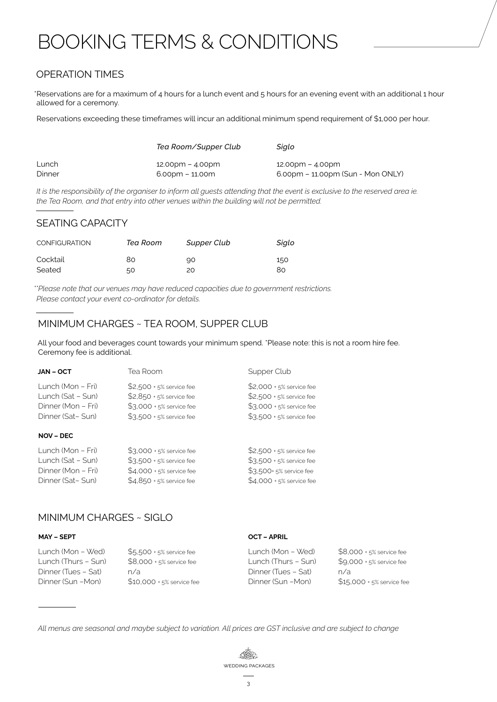# BOOKING TERMS & CONDITIONS

## OPERATION TIMES

\*Reservations are for a maximum of 4 hours for a lunch event and 5 hours for an evening event with an additional 1 hour allowed for a ceremony.

Reservations exceeding these timeframes will incur an additional minimum spend requirement of \$1,000 per hour.

|        | Tea Room/Supper Club               | Sialo                                               |
|--------|------------------------------------|-----------------------------------------------------|
| Lunch  | $12.00 \text{pm} - 4.00 \text{pm}$ | $12.00 \text{pm} - 4.00 \text{pm}$                  |
| Dinner | 6.00pm – 11.00m                    | $6.00 \text{pm} - 11.00 \text{pm}$ (Sun - Mon ONLY) |

*It is the responsibility of the organiser to inform all guests attending that the event is exclusive to the reserved area ie. the Tea Room, and that entry into other venues within the building will not be permitted.*

### SEATING CAPACITY

| <b>CONFIGURATION</b> | Tea Room | Supper Club | Siglo |
|----------------------|----------|-------------|-------|
| Cocktail             | 80       | 90          | 150   |
| Seated               | 50       | 20          | 80    |

*\*\*Please note that our venues may have reduced capacities due to government restrictions. Please contact your event co-ordinator for details.*

## MINIMUM CHARGES ~ TEA ROOM, SUPPER CLUB

All your food and beverages count towards your minimum spend. \*Please note: this is not a room hire fee. Ceremony fee is additional.

| JAN – OCT                                                                        | Tea Room                                                                                                         | Supper Club                                                                                                      |
|----------------------------------------------------------------------------------|------------------------------------------------------------------------------------------------------------------|------------------------------------------------------------------------------------------------------------------|
| Lunch (Mon – Fri)<br>Lunch (Sat - Sun)<br>Dinner (Mon – Fri)<br>Dinner (Sat-Sun) | \$2,500 + 5% service fee<br>\$2,850 + 5% service fee<br>$$3,000 + 5\%$ service fee<br>$$3,500 + 5\%$ service fee | \$2,000 + 5% service fee<br>\$2,500 + 5% service fee<br>$$3,000 + 5\%$ service fee<br>$$3,500 + 5\%$ service fee |
| <b>NOV – DEC</b>                                                                 |                                                                                                                  |                                                                                                                  |
| Lunch (Mon – Fri)                                                                | $$3,000 + 5%$ service fee                                                                                        | \$2,500 + 5% service fee                                                                                         |

| Lunch (Sat – Sun)  | $$3,500 + 5\%$ service fee | $$3,500 + 5%$ service fee |
|--------------------|----------------------------|---------------------------|
| Dinner (Mon – Fri) | $$4.000 + 5%$ service fee  | \$3,500+ 5% service fee   |
| Dinner (Sat-Sun)   | $$4.850 + 5%$ service fee  | $$4,000 + 5%$ service fee |

### MINIMUM CHARGES ~ SIGLO

#### MAY – SEPTOCT – APRIL

| \$5,500 + 5% service fee   | Lunch (Mon – Wed)   | \$8,000 + 5% service fee                  |
|----------------------------|---------------------|-------------------------------------------|
| $$8.000 + 5%$ service fee  | Lunch (Thurs – Sun) | $$9,000 + 5%$ service fee                 |
| n/a                        |                     | n/a                                       |
| $$10.000 + 5%$ service fee |                     | $$15,000 + 5%$ service fee                |
|                            |                     | Dinner (Tues – Sat)<br>Dinner (Sun – Mon) |

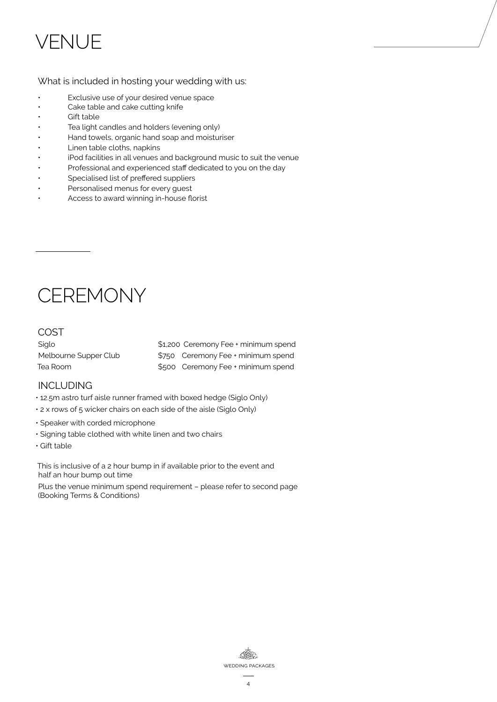# **VENILIE**

### What is included in hosting your wedding with us:

- Exclusive use of your desired venue space<br>• Cake table and cake cutting knife
- Cake table and cake cutting knife
- Gift table
- Tea light candles and holders (evening only)
- Hand towels, organic hand soap and moisturiser
- Linen table cloths, napkins
- iPod facilities in all venues and background music to suit the venue
- Professional and experienced staff dedicated to you on the day
- Specialised list of preffered suppliers
- Personalised menus for every quest
- Access to award winning in-house florist

# **CEREMONY**

## COST

| Siglo                 | \$1,200 Ceremony Fee + minimum spend |
|-----------------------|--------------------------------------|
| Melbourne Supper Club | \$750 Ceremony Fee + minimum spend   |
| Tea Room              | \$500 Ceremony Fee + minimum spend   |

### INCLUDING

- 12.5m astro turf aisle runner framed with boxed hedge (Siglo Only)
- 2 x rows of 5 wicker chairs on each side of the aisle (Siglo Only)
- Speaker with corded microphone
- Signing table clothed with white linen and two chairs
- Gift table

This is inclusive of a 2 hour bump in if available prior to the event and half an hour bump out time

Plus the venue minimum spend requirement – please refer to second page (Booking Terms & Conditions)

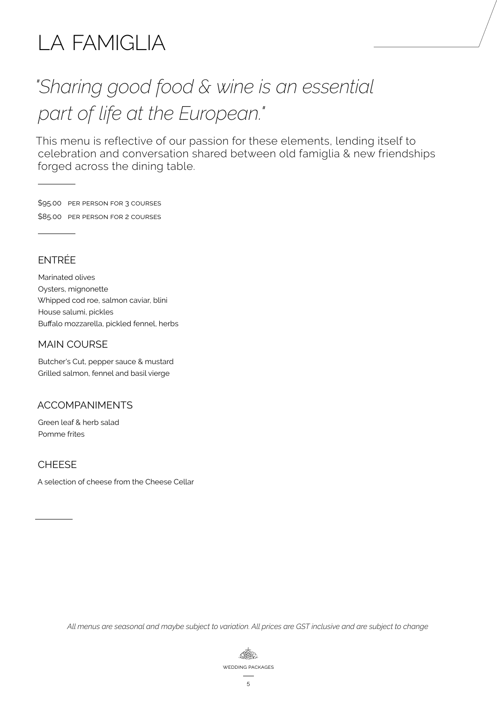# LA FAMIGLIA

# *"Sharing good food & wine is an essential part of life at the European."*

This menu is reflective of our passion for these elements, lending itself to celebration and conversation shared between old famiglia & new friendships forged across the dining table.

\$95.00 per person for 3 courses \$85.00 per person for 2 courses

# ENTRÉE

Marinated olives Oysters, mignonette Whipped cod roe, salmon caviar, blini House salumi, pickles Buffalo mozzarella, pickled fennel, herbs

### MAIN COURSE

Butcher's Cut, pepper sauce & mustard Grilled salmon, fennel and basil vierge

### ACCOMPANIMENTS

Green leaf & herb salad Pomme frites

### **CHEESF**

A selection of cheese from the Cheese Cellar

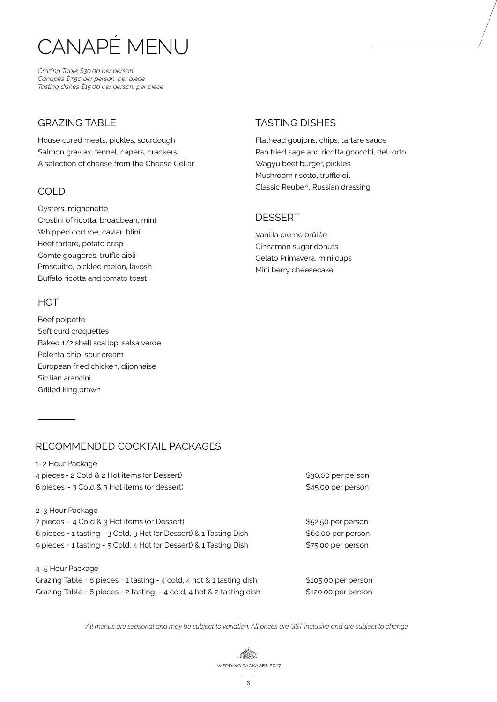# CANAPÉ MENU

*Grazing Table \$30.00 per person Canapés \$7.50 per person, per piece Tasting dishes \$15.00 per person, per piece*

### **GRAZING TABLE**

House cured meats, pickles, sourdough Salmon gravlax, fennel, capers, crackers A selection of cheese from the Cheese Cellar

## COLD

Oysters, mignonette Crostini of ricotta, broadbean, mint Whipped cod roe, caviar, blini Beef tartare, potato crisp Comté gougères, truffle aioli Proscuitto, pickled melon, lavosh Buffalo ricotta and tomato toast

### **HOT**

Beef polpette Soft curd croquettes Baked 1/2 shell scallop, salsa verde Polenta chip, sour cream European fried chicken, dijonnaise Sicilian arancini Grilled king prawn

# TASTING DISHES

Flathead goujons, chips, tartare sauce Pan fried sage and ricotta gnocchi, dell orto Wagyu beef burger, pickles Mushroom risotto, truffle oil Classic Reuben, Russian dressing

## **DESSERT**

Vanilla crème brûlée Cinnamon sugar donuts Gelato Primavera, mini cups Mini berry cheesecake

# RECOMMENDED COCKTAIL PACKAGES

1–2 Hour Package 4 pieces - 2 Cold & 2 Hot items (or Dessert) \$30.00 per person 6 pieces - 3 Cold & 3 Hot items (or dessert) \$45.00 per person

2–3 Hour Package

| 7 pieces - 4 Cold & 3 Hot items (or Dessert)                       |
|--------------------------------------------------------------------|
| 6 pieces + 1 tasting - 3 Cold, 3 Hot (or Dessert) & 1 Tasting Dish |
| 9 pieces + 1 tasting - 5 Cold, 4 Hot (or Dessert) & 1 Tasting Dish |

4–5 Hour Package Grazing Table + 8 pieces + 1 tasting - 4 cold, 4 hot  $& 1$  tasting dish \$105.00 per person Grazing Table + 8 pieces + 2 tasting  $-4$  cold, 4 hot & 2 tasting dish \$120.00 per person

\$52.50 per person \$60.00 per person \$75.00 per person

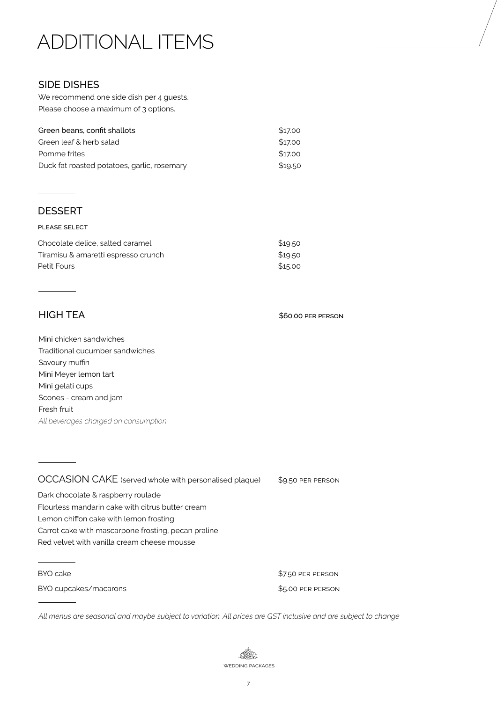# ADDITIONAL ITEMS

### SIDE DISHES

We recommend one side dish per 4 guests. Please choose a maximum of 3 options.

| Green beans, confit shallots                | \$17.00 |
|---------------------------------------------|---------|
| Green leaf & herb salad                     | \$17.00 |
| Pomme frites                                | \$17.00 |
| Duck fat roasted potatoes, garlic, rosemary | \$19.50 |

### DESSERT

#### please select

| Chocolate delice, salted caramel    | \$19.50 |
|-------------------------------------|---------|
| Tiramisu & amaretti espresso crunch | \$19.50 |
| Petit Fours                         | \$15.00 |

HIGH TEA

Mini chicken sandwiches Traditional cucumber sandwiches Savoury muffin Mini Meyer lemon tart Mini gelati cups Scones - cream and jam Fresh fruit *All beverages charged on consumption*

OCCASION CAKE (served whole with personalised plaque) \$9.50 PER PERSON Dark chocolate & raspberry roulade Flourless mandarin cake with citrus butter cream Lemon chiffon cake with lemon frosting Carrot cake with mascarpone frosting, pecan praline Red velvet with vanilla cream cheese mousse

BYO cake  $$7.50$  per person

BYO cupcakes/macarons extending the state of the S5.00 per person

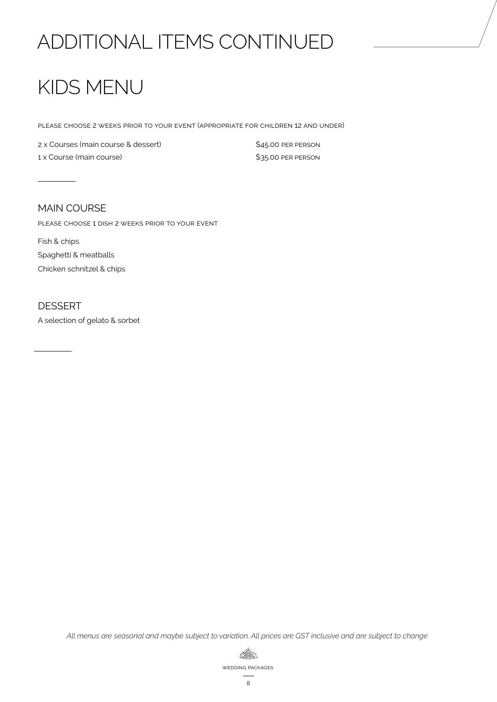# ADDITIONAL ITEMS CONTINUED

# KIDS MENU

please choose 2 weeks prior to your event (appropriate for children 12 and under)

2 x Courses (main course & dessert)  $$45.00$  PER PERSON 1 x Course (main course) **1** x Course (main course)

### MAIN COURSE

please choose 1 dish 2 weeks prior to your event

Fish & chips Spaghetti & meatballs Chicken schnitzel & chips

### DESSERT

A selection of gelato & sorbet

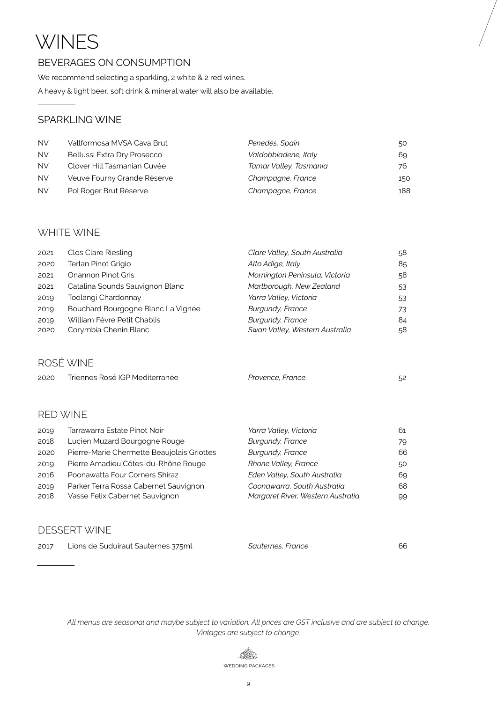# **WINES**

## BEVERAGES ON CONSUMPTION

We recommend selecting a sparkling, 2 white & 2 red wines.

A heavy & light beer, soft drink & mineral water will also be available.

### SPARKLING WINE

| <b>NV</b> | Vallformosa MVSA Cava Brut  | Penedès, Spain         | 50  |
|-----------|-----------------------------|------------------------|-----|
| <b>NV</b> | Bellussi Extra Dry Prosecco | Valdobbiadene, Italy   | 69. |
| <b>NV</b> | Clover Hill Tasmanian Cuvée | Tamar Valley, Tasmania | 76  |
| <b>NV</b> | Veuve Fourny Grande Réserve | Champagne, France      | 150 |
| <b>NV</b> | Pol Roger Brut Réserve      | Champagne, France      | 188 |

### WHITE WINE

| 2021 | Clos Clare Riesling                | Clare Valley, South Australia  | .58 |
|------|------------------------------------|--------------------------------|-----|
| 2020 | Terlan Pinot Grigio                | Alto Adige, Italy              | 85  |
| 2021 | Onannon Pinot Gris                 | Mornington Peninsula, Victoria | .58 |
| 2021 | Catalina Sounds Sauvignon Blanc    | Marlborough, New Zealand       | 53  |
| 2019 | Toolangi Chardonnay                | Yarra Valley, Victoria         | 53  |
| 2019 | Bouchard Bourgogne Blanc La Vignée | Burgundy, France               | 73  |
| 2019 | William Fèvre Petit Chablis        | Burgundy, France               | 84  |
| 2020 | Corymbia Chenin Blanc              | Swan Valley, Western Australia | 58  |

# ROSÉ WINE

| 2020 | Triennes Rosé IGP Mediterranée | Provence, France |  |
|------|--------------------------------|------------------|--|
|      |                                |                  |  |

# RED WINE

| 2019 | Tarrawarra Estate Pinot Noir               | Yarra Valley, Victoria            | 61 |
|------|--------------------------------------------|-----------------------------------|----|
| 2018 | Lucien Muzard Bourgogne Rouge              | Burgundy, France                  | 79 |
| 2020 | Pierre-Marie Chermette Beaujolais Griottes | Burgundy, France                  | 66 |
| 2019 | Pierre Amadieu Côtes-du-Rhône Rouge        | Rhone Valley, France              | 50 |
| 2016 | Poonawatta Four Corners Shiraz             | Eden Valley, South Australia      | 69 |
| 2019 | Parker Terra Rossa Cabernet Sauvignon      | Coonawarra, South Australia       | 68 |
| 2018 | Vasse Felix Cabernet Sauvignon             | Margaret River, Western Australia | 99 |
|      |                                            |                                   |    |

### DESSERT WINE

| 2017 | Lions de Suduiraut Sauternes 375ml | Sauternes, France |  |
|------|------------------------------------|-------------------|--|
|------|------------------------------------|-------------------|--|

*All menus are seasonal and maybe subject to variation. All prices are GST inclusive and are subject to change. Vintages are subject to change.*

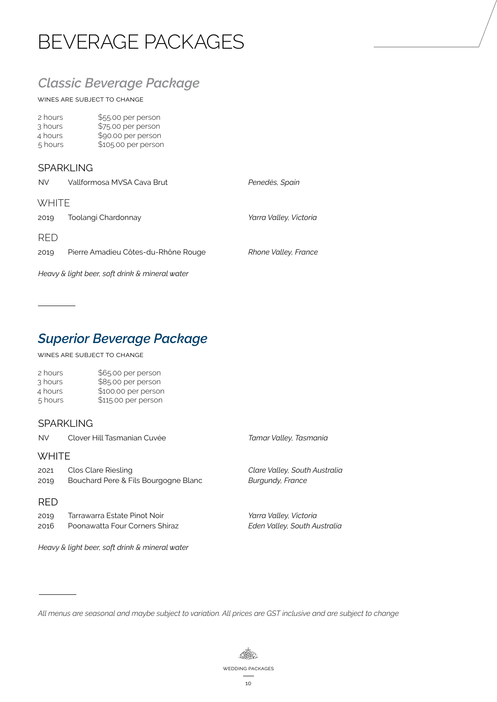# BEVERAGE PACKAGES

# *Classic Beverage Package*

wines are subject to change

| \$55.00 per person  |
|---------------------|
| \$75.00 per person  |
| \$90.00 per person  |
| \$105.00 per person |
|                     |

### **SPARKLING**

| <b>NV</b>                                      | Vallformosa MVSA Cava Brut          | Penedès, Spain         |  |
|------------------------------------------------|-------------------------------------|------------------------|--|
| <b>WHITE</b>                                   |                                     |                        |  |
| 2019                                           | Toolangi Chardonnay                 | Yarra Valley, Victoria |  |
| <b>RED</b>                                     |                                     |                        |  |
| 2019                                           | Pierre Amadieu Côtes-du-Rhône Rouge | Rhone Valley, France   |  |
| Heavy & light beer, soft drink & mineral water |                                     |                        |  |

# *Superior Beverage Package*

wines are subject to change

 $\sim 10^{-1}$ 

| 2 hours | \$65.00 per person  |
|---------|---------------------|
| 3 hours | \$85.00 per person  |
| 4 hours | \$100.00 per person |
| 5 hours | \$115.00 per person |
|         |                     |

### SPARKLING

| <b>NV</b>    | Clover Hill Tasmanian Cuvée                                    | Tamar Valley, Tasmania                                   |  |  |  |
|--------------|----------------------------------------------------------------|----------------------------------------------------------|--|--|--|
|              | <b>WHITE</b>                                                   |                                                          |  |  |  |
| 2021<br>2019 | Clos Clare Riesling<br>Bouchard Pere & Fils Bourgogne Blanc    | Clare Valley, South Australia<br><b>Burgundy, France</b> |  |  |  |
| <b>RFD</b>   |                                                                |                                                          |  |  |  |
| 2019<br>2016 | Tarrawarra Estate Pinot Noir<br>Poonawatta Four Corners Shiraz | Yarra Valley, Victoria<br>Eden Valley, South Australia   |  |  |  |

*Heavy & light beer, soft drink & mineral water* 

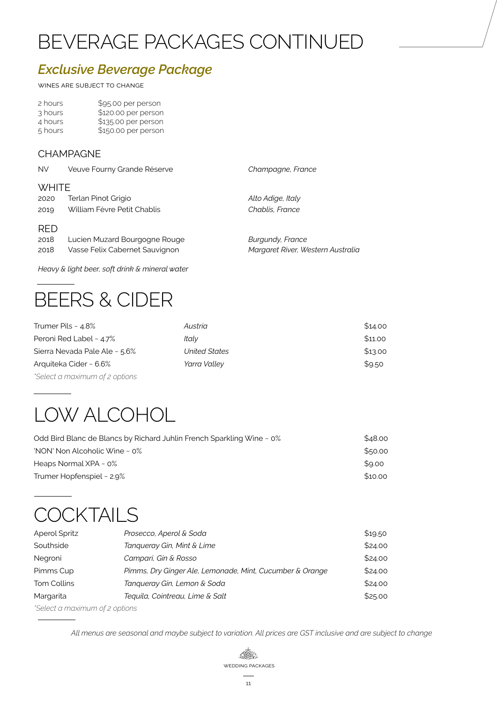# BEVERAGE PACKAGES CONTINUED

# *Exclusive Beverage Package*

wines are subject to change

| 2 hours | \$95.00 per person  |
|---------|---------------------|
| 3 hours | \$120.00 per person |
| 4 hours | \$135.00 per person |
| 5 hours | \$150.00 per person |

### **CHAMPAGNE**

| <b>NV</b>    | Veuve Fourny Grande Réserve    | Champagne, France                 |  |
|--------------|--------------------------------|-----------------------------------|--|
| <b>WHITE</b> |                                |                                   |  |
| 2020         | Terlan Pinot Grigio            | Alto Adige, Italy                 |  |
| 2019         | William Fèvre Petit Chablis    | Chablis, France                   |  |
| <b>RED</b>   |                                |                                   |  |
| 2018         | Lucien Muzard Bourgogne Rouge  | Burgundy, France                  |  |
| 2018         | Vasse Felix Cabernet Sauvignon | Margaret River, Western Australia |  |

*Heavy & light beer, soft drink & mineral water* 

# BEERS & CIDER

| Trumer Pils ~ 4.8%            | Austria       | \$14.00 |
|-------------------------------|---------------|---------|
| Peroni Red Label ~ 4.7%       | Italv         | \$11.00 |
| Sierra Nevada Pale Ale ~ 5.6% | United States | \$13.00 |
| Arquiteka Cider ~ 6.6%        | Yarra Valley  | \$9.50  |

# LOW ALCOHOL

*\*Select a maximum of 2 options*

| Odd Bird Blanc de Blancs by Richard Juhlin French Sparkling Wine ~ 0% | \$48.00 |
|-----------------------------------------------------------------------|---------|
| 'NON' Non Alcoholic Wine $\sim$ 0%                                    | \$50.00 |
| Heaps Normal $XPA \sim 0\%$                                           | \$9.00  |
| Trumer Hopfenspiel $\sim$ 2.9%                                        | \$10.00 |

# **COCKTAILS**

| <b>Aperol Spritz</b>                  | Prosecco, Aperol & Soda                                  | \$19.50 |  |
|---------------------------------------|----------------------------------------------------------|---------|--|
| Southside                             | Tanqueray Gin, Mint & Lime                               | \$24.00 |  |
| Negroni                               | Campari, Gin & Rosso                                     | \$24.00 |  |
| Pimms Cup                             | Pimms, Dry Ginger Ale, Lemonade, Mint, Cucumber & Orange | \$24.00 |  |
| Tom Collins                           | Tanqueray Gin, Lemon & Soda                              | \$24.00 |  |
| Margarita                             | Tequila, Cointreau, Lime & Salt                          | \$25.00 |  |
| $^*$ Coloot a manufau um of a optiona |                                                          |         |  |

*\*Select a maximum of 2 options*

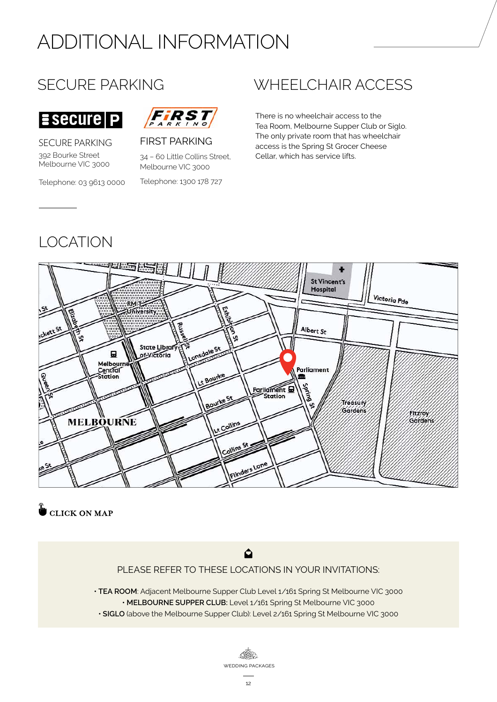# ADDITIONAL INFORMATION

# SECURE PARKING



SECURE PARKING 392 Bourke Street Melbourne VIC 3000

 $\overline{\mathsf{E} \mathsf{Secure} | \mathsf{P}}$ 

#### Telephone: 03 9613 0000



FIRST PARKING

34 – 60 Little Collins Street, Melbourne VIC 3000

Telephone: 1300 178 727

# WHEELCHAIR ACCESS

There is no wheelchair access to the Tea Room, Melbourne Supper Club or Siglo. The only private room that has wheelchair access is the Spring St Grocer Cheese Cellar, which has service lifts.

# LOCATION



**CLICK ON MAP** 



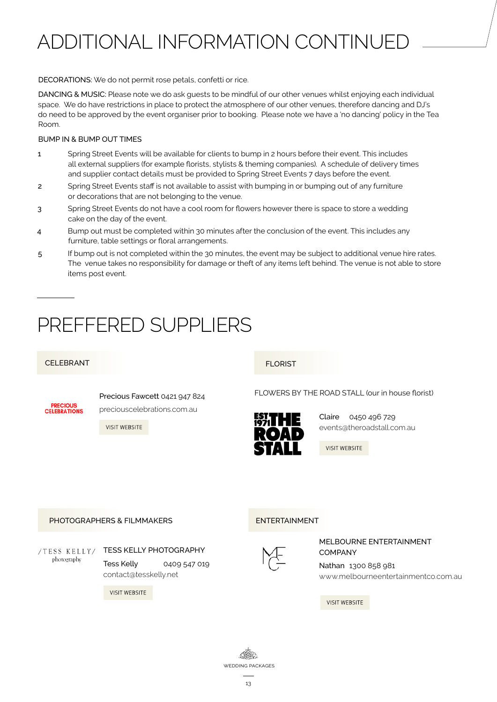# ADDITIONAL INFORMATION CONTINUED

#### DECORATIONS: We do not permit rose petals, confetti or rice.

DANCING & MUSIC: Please note we do ask guests to be mindful of our other venues whilst enjoying each individual space. We do have restrictions in place to protect the atmosphere of our other venues, therefore dancing and DJ's do need to be approved by the event organiser prior to booking. Please note we have a 'no dancing' policy in the Tea Room.

#### BUMP IN & BUMP OUT TIMES

- 1 Spring Street Events will be available for clients to bump in 2 hours before their event. This includes all external suppliers (for example florists, stylists & theming companies). A schedule of delivery times and supplier contact details must be provided to Spring Street Events 7 days before the event.
- 2 Spring Street Events staff is not available to assist with bumping in or bumping out of any furniture or decorations that are not belonging to the venue.
- 3 Spring Street Events do not have a cool room for flowers however there is space to store a wedding cake on the day of the event.
- 4 Bump out must be completed within 30 minutes after the conclusion of the event. This includes any furniture, table settings or floral arrangements.
- 5 If bump out is not completed within the 30 minutes, the event may be subject to additional venue hire rates. The venue takes no responsibility for damage or theft of any items left behind. The venue is not able to store items post event.

# PREFFERED SUPPLIERS

#### CELEBRANT FLORIST

**PRECIOUS CELERRATIONS**  Precious Fawcett 0421 947 824 [preciouscelebrations.com.au](https://preciouscelebrations.com.au/)

VISIT WEBSITE

[FLOWERS BY THE ROAD STALL \(our in house florist\)](http://theroadstall.com.au/)



Claire 0450 496 729 events@theroadstall.com.au

**VISIT WEBSITE** 

#### [PHOTOGRAPHERS & FILMMAKERS](http://tesskelly.net/)

/TESS KELLY/ [TESS KELLY PHOTOGRAPHY](http://tesskelly.net/) photography Tess Kelly 0409 547 019 contact@tesskelly.net

**VISIT WEBSITE** 

#### ENTERTAINMENT



#### MELBOURNE ENTERTAINMENT COMPANY

Nathan 1300 858 981 [www.melbourneentertainmentco.com.au](www.ritualunion.com.au)

**VISIT WEBSITE** 

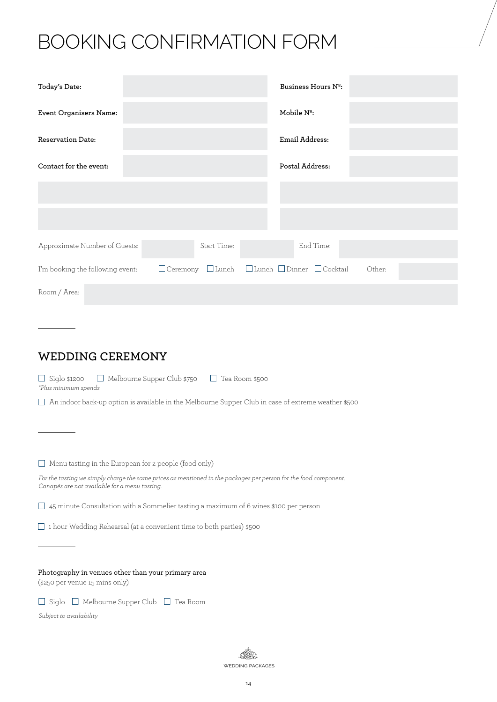# BOOKING CONFIRMATION FORM

| Today's Date:                    |             | Business Hours N <sup>o</sup> :                |        |  |
|----------------------------------|-------------|------------------------------------------------|--------|--|
| Event Organisers Name:           |             | Mobile N <sup>o</sup> :                        |        |  |
| <b>Reservation Date:</b>         |             | Email Address:                                 |        |  |
| Contact for the event:           |             | Postal Address:                                |        |  |
|                                  |             |                                                |        |  |
|                                  |             |                                                |        |  |
| Approximate Number of Guests:    | Start Time: | End Time:                                      |        |  |
| I'm booking the following event: |             | □ Ceremony □ Lunch □ Lunch □ Dinner □ Cocktail | Other: |  |
| Room / Area:                     |             |                                                |        |  |

**WEDDING CEREMONY**

 $\Box$  Siglo \$1200  $\Box$  Melbourne Supper Club \$750  $\Box$  Tea Room \$500 *\*Plus minimum spends*

 $\Box$  An indoor back-up option is available in the Melbourne Supper Club in case of extreme weather \$500

 $\Box$  Menu tasting in the European for 2 people (food only)

*For the tasting we simply charge the same prices as mentioned in the packages per person for the food component. Canapés are not available for a menu tasting.*

 $\Box$  45 minute Consultation with a Sommelier tasting a maximum of 6 wines \$100 per person

 $\Box$  1 hour Wedding Rehearsal (at a convenient time to both parties) \$500

Photography in venues other than your primary area (\$250 per venue 15 mins only)

 $\Box$  Siglo  $\Box$  Melbourne Supper Club  $\Box$  Tea Room

*Subject to availability*

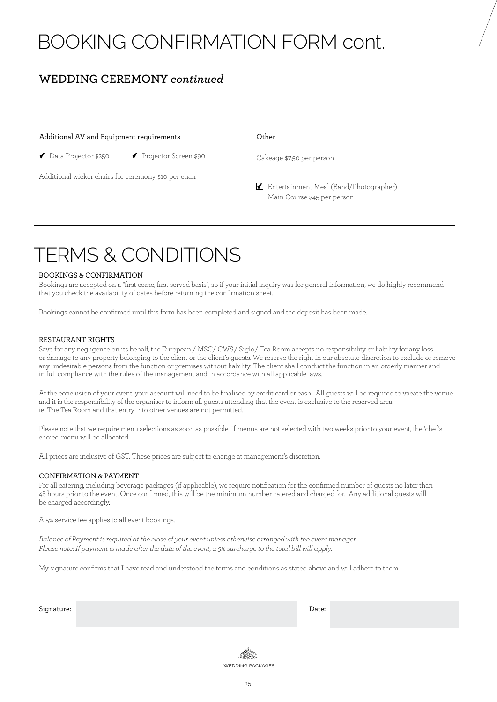# BOOKING CONFIRMATION FORM cont.

# **WEDDING CEREMONY** *continued*

#### Additional AV and Equipment requirements

■ Data Projector \$250 → Projector Screen \$90

Additional wicker chairs for ceremony \$10 per chair

Cakeage \$7.50 per person

**Entertainment Meal (Band/Photographer)** Main Course \$45 per person

# TERMS & CONDITIONS

#### BOOKINGS & CONFIRMATION

Bookings are accepted on a "first come, first served basis", so if your initial inquiry was for general information, we do highly recommend that you check the availability of dates before returning the confirmation sheet.

Bookings cannot be confirmed until this form has been completed and signed and the deposit has been made.

#### RESTAURANT RIGHTS

Save for any negligence on its behalf, the European / MSC/ CWS/ Siglo/ Tea Room accepts no responsibility or liability for any loss or damage to any property belonging to the client or the client's guests. We reserve the right in our absolute discretion to exclude or remove any undesirable persons from the function or premises without liability. The client shall conduct the function in an orderly manner and in full compliance with the rules of the management and in accordance with all applicable laws.

At the conclusion of your event, your account will need to be finalised by credit card or cash. All guests will be required to vacate the venue and it is the responsibility of the organiser to inform all guests attending that the event is exclusive to the reserved area ie. The Tea Room and that entry into other venues are not permitted.

Please note that we require menu selections as soon as possible. If menus are not selected with two weeks prior to your event, the 'chef's choice' menu will be allocated.

All prices are inclusive of GST. These prices are subject to change at management's discretion.

#### CONFIRMATION & PAYMENT

For all catering, including beverage packages (if applicable), we require notification for the confirmed number of guests no later than 48 hours prior to the event. Once confirmed, this will be the minimum number catered and charged for. Any additional guests will be charged accordingly.

A 5% service fee applies to all event bookings.

*Balance of Payment is required at the close of your event unless otherwise arranged with the event manager. Please note: If payment is made after the date of the event, a 5% surcharge to the total bill will apply.*

My signature confirms that I have read and understood the terms and conditions as stated above and will adhere to them.

Signature: Date: Date: Date: Date: Date: Date: Date: Date: Date: Date: Date: Date: Date: Date: Date: Date: Date: Date: Date: Date: Date: Date: Date: Date: Date: Date: Date: Date: Date: Date: Date: Date: Date: Date: Date: D

(FRE) wedding packages